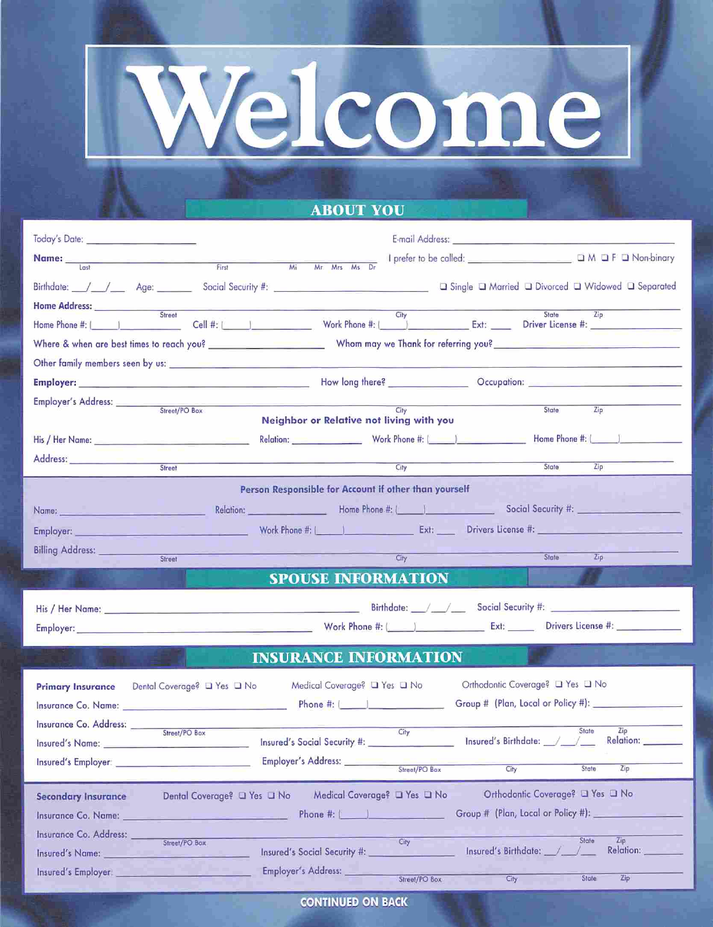

## **ABOUT YOU**

| Today's Date: _________________________ |                                                                                                                                                                                                                                      |                                                                                                                                                                                                                                        |                                                        |                           |  |
|-----------------------------------------|--------------------------------------------------------------------------------------------------------------------------------------------------------------------------------------------------------------------------------------|----------------------------------------------------------------------------------------------------------------------------------------------------------------------------------------------------------------------------------------|--------------------------------------------------------|---------------------------|--|
| Name: Lost                              | First                                                                                                                                                                                                                                | Mr Mrs Ms Dr<br>Mi                                                                                                                                                                                                                     |                                                        |                           |  |
|                                         | Birthdate: / / Age: Social Security #: Change and Single D Married D Divorced D Widowed D Separated                                                                                                                                  |                                                                                                                                                                                                                                        |                                                        |                           |  |
| Home Address:                           |                                                                                                                                                                                                                                      |                                                                                                                                                                                                                                        |                                                        |                           |  |
|                                         |                                                                                                                                                                                                                                      | City<br>Cell #: \etchine \\ \text{\bmat} \text{\bmat} \text{\bmat} \text{\bmat} \text{\bmat} \text{\bmat} \text{\bmat} \text{\bmat} \text{\bmat} \text{\bmat} \text{\bmat} \text{\bmat} \text{\bmat} \text{\bmat} \text{\bmat} \text{\ | State                                                  | Zip                       |  |
|                                         |                                                                                                                                                                                                                                      |                                                                                                                                                                                                                                        |                                                        |                           |  |
|                                         |                                                                                                                                                                                                                                      |                                                                                                                                                                                                                                        |                                                        |                           |  |
|                                         | Employer: <u>Communication of the Communication of the Communication of the Communication of the Communication of the Communication of the Communication of the Communication of the Communication of the Communication of the C</u> |                                                                                                                                                                                                                                        |                                                        |                           |  |
| Employer's Address: ______              | Street/PO Box                                                                                                                                                                                                                        |                                                                                                                                                                                                                                        | State                                                  | Zip                       |  |
|                                         |                                                                                                                                                                                                                                      | Cify<br>Neighbor or Relative not living with you                                                                                                                                                                                       |                                                        |                           |  |
|                                         |                                                                                                                                                                                                                                      | Relation: North Phone #: (All Company of Home Phone #: (All Company of Home Phone #: (All Company of Home Phone #: (All Company of Home Phone #: (All Company of Home Phone #: (All Company of Home Phone #: (All Company of H         |                                                        |                           |  |
| Address: ________________               | Street                                                                                                                                                                                                                               | City                                                                                                                                                                                                                                   | State                                                  | Zip                       |  |
|                                         |                                                                                                                                                                                                                                      | Person Responsible for Account if other than yourself                                                                                                                                                                                  |                                                        |                           |  |
|                                         |                                                                                                                                                                                                                                      | Relation: Nome Phone #: [ Nome Phone #: [ Nome Phone #: 2] Social Security #: North Security #: North Security #: North Security #: North Security #: North Security #: North Security #: North Security #: North Security #:          |                                                        |                           |  |
| Employer: ___________                   |                                                                                                                                                                                                                                      |                                                                                                                                                                                                                                        |                                                        |                           |  |
| <b>Billing Address:</b>                 |                                                                                                                                                                                                                                      |                                                                                                                                                                                                                                        |                                                        |                           |  |
|                                         | Street                                                                                                                                                                                                                               | City                                                                                                                                                                                                                                   | <b>State</b>                                           | Zip                       |  |
|                                         |                                                                                                                                                                                                                                      | <b>SPOUSE INFORMATION</b>                                                                                                                                                                                                              |                                                        |                           |  |
|                                         |                                                                                                                                                                                                                                      |                                                                                                                                                                                                                                        |                                                        |                           |  |
|                                         |                                                                                                                                                                                                                                      |                                                                                                                                                                                                                                        |                                                        |                           |  |
|                                         |                                                                                                                                                                                                                                      |                                                                                                                                                                                                                                        | Employer: Drivers License #:                           |                           |  |
|                                         |                                                                                                                                                                                                                                      |                                                                                                                                                                                                                                        |                                                        |                           |  |
|                                         |                                                                                                                                                                                                                                      | <b>INSURANCE INFORMATION</b>                                                                                                                                                                                                           |                                                        |                           |  |
|                                         |                                                                                                                                                                                                                                      | Medical Coverage? □ Yes □ No                                                                                                                                                                                                           | Orthodontic Coverage? La Yes La No                     |                           |  |
|                                         |                                                                                                                                                                                                                                      |                                                                                                                                                                                                                                        | Group # (Plan, Local or Policy #): ___________________ |                           |  |
| Insurance Co. Address: _____            |                                                                                                                                                                                                                                      | City                                                                                                                                                                                                                                   |                                                        | State<br>Zip              |  |
| Insured's Name:                         | Street/PO Box                                                                                                                                                                                                                        | Insured's Social Security #: 1999 Manual Security #:                                                                                                                                                                                   | Insured's Birthdate: ///                               | Relation:                 |  |
| Insured's Employer:                     |                                                                                                                                                                                                                                      | Employer's Address:<br>Street/PO Box                                                                                                                                                                                                   | City                                                   | State<br>Zip              |  |
|                                         |                                                                                                                                                                                                                                      |                                                                                                                                                                                                                                        |                                                        |                           |  |
| <b>Secondary Insurance</b>              | Dental Coverage? Q Yes Q No                                                                                                                                                                                                          | Medical Coverage? □ Yes □ No                                                                                                                                                                                                           | Orthodontic Coverage? □ Yes □ No                       |                           |  |
| Insurance Co. Name:                     |                                                                                                                                                                                                                                      | Phone #: (                                                                                                                                                                                                                             | Group # (Plan, Local or Policy #): _                   |                           |  |
| Insurance Co. Address:                  | Street/PO Box                                                                                                                                                                                                                        | City<br>Insured's Social Security #:                                                                                                                                                                                                   | Insured's Birthdate:                                   | Zip<br>State<br>Relation: |  |
| Insured's Name:<br>Insured's Employer:  |                                                                                                                                                                                                                                      | Employer's Address: _<br>Street/PO Box                                                                                                                                                                                                 | City.                                                  | State<br>Zip.             |  |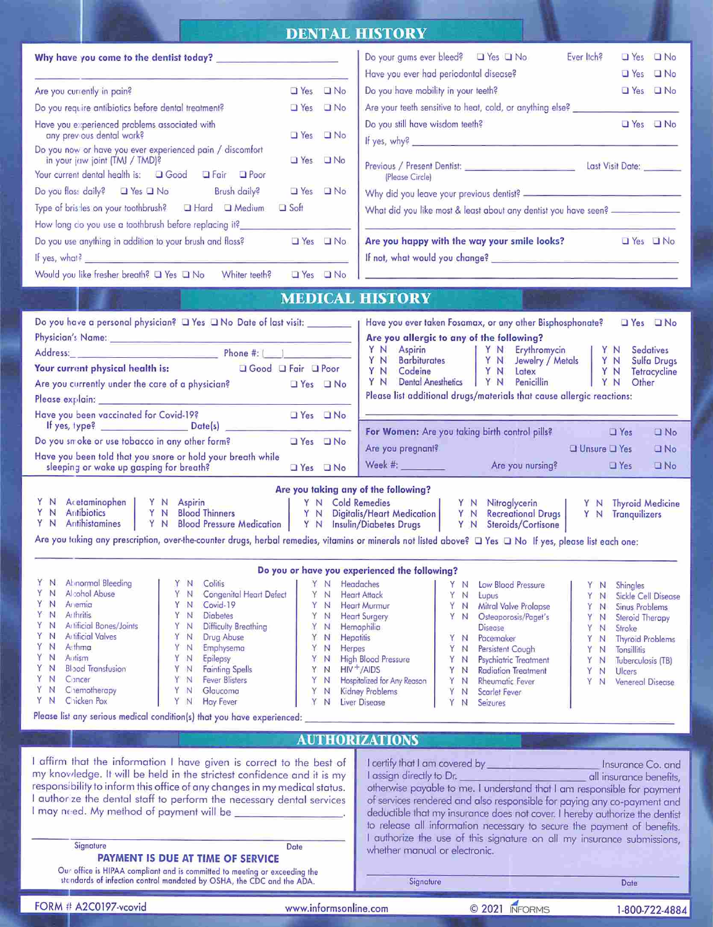| Do you have mobility in your teeth?<br>Yes <b>No</b><br>Are you currently in pain?<br>$\Box$ Yes $\Box$ No<br>Are your teeth sensitive to heat, cold, or anything else? _______________________<br>Do you require antibiotics before dental treatment?<br>$\Box$ Yes $\Box$ No<br>Do you still have wisdom teeth?<br>□ Yes □ No<br>Have you experienced problems associated with<br>any previous dental work?<br>Yes I No<br>Do you now or have you ever experienced pain / discomfort<br>T Yes T No<br>in your juw joint (TMJ / TMD)?<br>Your current dental health is: Q Good Q Fair Q Poor<br>(Please Circle)<br>Do you floss daily? Thes This No. Brush daily?<br>Yes DNo<br>$\Box$ Soft<br>What did you like most & least about any dentist you have seen? ________________<br>How long do you use a toothbrush before replacing it? __________________________<br>Are you happy with the way your smile looks?<br>Do you use anything in addition to your brush and floss? $\Box$ Yes $\Box$ No<br>$\Box$ Yes $\Box$ No<br>If yes, what? $\frac{1}{2}$<br>Would you like fresher breath? a Yes a No Whiter teeth? a Yes a No<br>in the contract of the contract of the contract of the contract of the contract of the contract of the contract<br><b>MEDICAL HISTORY</b><br>Do you have a personal physician? $\Box$ Yes $\Box$ No Date of last visit:<br>Have you ever taken Fosamax, or any other Bisphosphonate?<br>$Yes$ $\Box$ No<br>Are you allergic to any of the following?<br><b>Sedatives</b><br><b>Sulfa Drugs</b><br>$\Box$ Good $\Box$ Fair $\Box$ Poor<br>Your current physical health is:<br>Y N Latex<br> YN <br>Tetracycline<br>Dental Anesthetics   Y N Penicillin   Y N<br>YN<br>Other<br>Are you currently under the care of a physician?<br>$Yes$ $No$<br>Please list additional drugs/materials that cause allergic reactions:<br>Have you been vaccinated for Covid-19?<br><b>O</b> Yes <b>O</b> No<br>$\Box$ No<br>Do you smoke or use tobacco in any other form?<br>$Yes$ $\Box$ No<br>Are you pregnant?<br>$\Box$ Unsure $\Box$ Yes<br><b>O</b> No<br>Have you been told that you snore or hold your breath while<br>Are you nursing?<br>$\Box$ Yes<br>$\Box$ No<br>sleeping or wake up gasping for breath?<br>$Yes$ $No$<br>Are you taking any of the following?<br>Y N Acetaminophen   Y N Aspirin   Y N Cold Remedies   Y N Nitroglycerin<br>Y N Antibiotics   Y N Blood Thinners   Y N Digitalis/Heart Medication   Y N Recreational Drugs   Y N Antibiotics<br>Y N Antihistamines   Y N Blood Pressu<br>Y N Thyroid Medicine<br>Y N Tranquilizers<br>Are you taking any prescription, over-the-counter drugs, herbal remedies, vitamins or minerals not listed above? O Yes O No If yes, please list each one:<br>Do you or have you experienced the following?<br><b>Abnormal Bleeding</b><br>N.<br>Colitis<br>N.<br>Headaches<br>YN<br>Low Blood Pressure<br>N<br>YN<br>Shingles<br>Y<br>Alcohol Abuse<br>N<br>Y<br>Congenital Heart Defect<br>N<br>Υ<br>YN<br><b>Heart Attack</b><br>N<br>Lupus<br>YN<br>Sickle Cell Disease<br>Ariemia<br>N<br>Covid-19<br>Y<br><b>Heart Murmur</b><br>'N.<br>Y<br>YN<br>Mitral Valve Prolapse<br>N<br>Y<br>N<br>Sinus Problems<br><b>Arthritis</b><br>Y<br>'N<br>Y<br><b>Diabetes</b><br>N<br>Y<br><b>Heart Surgery</b><br>YN<br>N<br>Osteoporosis/Paget's<br>Y<br>N<br>Steroid Therapy<br>Artificial Bones/Joints<br>N<br>Difficulty Breathing<br>Y<br>N<br>Y<br>Hemophilia<br>N<br><b>Disease</b><br>Y<br>N<br>Stroke<br>Y<br><b>Artificial Valves</b><br>N<br>Y<br>N<br>Drug Abuse<br><b>Hepatitis</b><br>Υ<br>Pacemaker<br>N<br>YN<br>Ÿ<br>N<br><b>Thyroid Problems</b><br>A thma<br>Y<br>N<br>Y<br>Emphysema<br>Y<br>N<br>Herpes<br>YN<br>N<br>Persistent Cough<br>Y<br>N<br>Tonsillitis<br>Y<br>N<br>Autism<br>Y<br>Epilepsy<br><b>High Blood Pressure</b><br>N<br>Y<br>YN<br>Psychiatric Treatment<br>N<br>Y<br>N<br>Tuberculosis (TB)<br>Y<br><b>Blood Transfusion</b><br>N<br><b>Fainting Spells</b><br>$HIV^+/AIDS$<br>Y<br>Υ<br><b>Radiation Treatment</b><br>N<br>YN<br>N<br>Υ<br>N<br><b>Ulcers</b><br>Y<br>N<br>Cancer<br>Y<br><b>Fever Blisters</b><br>N<br>Y<br>Hospitalized for Any Reason<br>Y<br>Rheumatic Fever<br>N<br><sup>N</sup><br>Υ<br>N<br>Venereal Disease<br>YN<br>Chemotherapy<br>Y<br>Glaucoma<br>Kidney Problems<br>N<br>Υ<br>Y<br>N<br>Scarlet Fever<br>N<br>YN<br>Chicken Pox<br>YN<br><b>Hay Fever</b><br>Υ<br>Y<br>Liver Disease<br>Seizures<br>N<br>N<br>Please list any serious medical condition(s) that you have experienced:<br><b>AUTHORIZATIONS</b><br>I affirm that the information I have given is correct to the best of<br>I certify that I am covered by<br>Insurance Co. and<br>my knoviledge. It will be held in the strictest confidence and it is my<br>I assign directly to Dr.<br>all insurance benefits,<br>responsibility to inform this office of any changes in my medical status.<br>otherwise payable to me. I understand that I am responsible for payment<br>I authorize the dental staff to perform the necessary dental services<br>of services rendered and also responsible for paying any co-payment and<br>I may need. My method of payment will be<br>deductible that my insurance does not cover. I hereby authorize the dentist<br>to release all information necessary to secure the payment of benefits.<br>authorize the use of this signature on all my insurance submissions,<br>Signature<br>Date<br>whether manual or electronic.<br>PAYMENT IS DUE AT TIME OF SERVICE<br>Our office is HIPAA compliant and is committed to meeting or exceeding the<br>standards of infection control mandated by OSHA, the CDC and the ADA.<br>Signature<br>Date<br>FORM # A2C0197-vcovid<br>© 2021 INFORMS<br>www.informsonline.com<br>1-800-722-4884 | Do your gums ever bleed? $\Box$ Yes $\Box$ No<br>Ever ltch?<br>$\Box$ Yes $\Box$ No |
|---------------------------------------------------------------------------------------------------------------------------------------------------------------------------------------------------------------------------------------------------------------------------------------------------------------------------------------------------------------------------------------------------------------------------------------------------------------------------------------------------------------------------------------------------------------------------------------------------------------------------------------------------------------------------------------------------------------------------------------------------------------------------------------------------------------------------------------------------------------------------------------------------------------------------------------------------------------------------------------------------------------------------------------------------------------------------------------------------------------------------------------------------------------------------------------------------------------------------------------------------------------------------------------------------------------------------------------------------------------------------------------------------------------------------------------------------------------------------------------------------------------------------------------------------------------------------------------------------------------------------------------------------------------------------------------------------------------------------------------------------------------------------------------------------------------------------------------------------------------------------------------------------------------------------------------------------------------------------------------------------------------------------------------------------------------------------------------------------------------------------------------------------------------------------------------------------------------------------------------------------------------------------------------------------------------------------------------------------------------------------------------------------------------------------------------------------------------------------------------------------------------------------------------------------------------------------------------------------------------------------------------------------------------------------------------------------------------------------------------------------------------------------------------------------------------------------------------------------------------------------------------------------------------------------------------------------------------------------------------------------------------------------------------------------------------------------------------------------------------------------------------------------------------------------------------------------------------------------------------------------------------------------------------------------------------------------------------------------------------------------------------------------------------------------------------------------------------------------------------------------------------------------------------------------------------------------------------------------------------------------------------------------------------------------------------------------------------------------------------------------------------------------------------------------------------------------------------------------------------------------------------------------------------------------------------------------------------------------------------------------------------------------------------------------------------------------------------------------------------------------------------------------------------------------------------------------------------------------------------------------------------------------------------------------------------------------------------------------------------------------------------------------------------------------------------------------------------------------------------------------------------------------------------------------------------------------------------------------------------------------------------------------------------------------------------------------------------------------------------------------------------------------------------------------------------------------------------------------------------------------------------------------------------------------------------------------------------------------------------------------------------------------------------------------------------------------------------------------------------------------------------------------------------------------------------------------------------------------------------------------------------------------------------------------------------------------------------------------------------------------------------------------------------------------------------------------------------------------------------------------------------------------------------------------------------------------------------------------------------------------------------------------------------------------------------------------------------------------------------------------------------------------------------------------|-------------------------------------------------------------------------------------|
|                                                                                                                                                                                                                                                                                                                                                                                                                                                                                                                                                                                                                                                                                                                                                                                                                                                                                                                                                                                                                                                                                                                                                                                                                                                                                                                                                                                                                                                                                                                                                                                                                                                                                                                                                                                                                                                                                                                                                                                                                                                                                                                                                                                                                                                                                                                                                                                                                                                                                                                                                                                                                                                                                                                                                                                                                                                                                                                                                                                                                                                                                                                                                                                                                                                                                                                                                                                                                                                                                                                                                                                                                                                                                                                                                                                                                                                                                                                                                                                                                                                                                                                                                                                                                                                                                                                                                                                                                                                                                                                                                                                                                                                                                                                                                                                                                                                                                                                                                                                                                                                                                                                                                                                                                                                                                                                                                                                                                                                                                                                                                                                                                                                                                                                                                                                                   | Have you ever had periodontal disease?<br>$\Box$ Yes $\Box$ No                      |
|                                                                                                                                                                                                                                                                                                                                                                                                                                                                                                                                                                                                                                                                                                                                                                                                                                                                                                                                                                                                                                                                                                                                                                                                                                                                                                                                                                                                                                                                                                                                                                                                                                                                                                                                                                                                                                                                                                                                                                                                                                                                                                                                                                                                                                                                                                                                                                                                                                                                                                                                                                                                                                                                                                                                                                                                                                                                                                                                                                                                                                                                                                                                                                                                                                                                                                                                                                                                                                                                                                                                                                                                                                                                                                                                                                                                                                                                                                                                                                                                                                                                                                                                                                                                                                                                                                                                                                                                                                                                                                                                                                                                                                                                                                                                                                                                                                                                                                                                                                                                                                                                                                                                                                                                                                                                                                                                                                                                                                                                                                                                                                                                                                                                                                                                                                                                   |                                                                                     |
|                                                                                                                                                                                                                                                                                                                                                                                                                                                                                                                                                                                                                                                                                                                                                                                                                                                                                                                                                                                                                                                                                                                                                                                                                                                                                                                                                                                                                                                                                                                                                                                                                                                                                                                                                                                                                                                                                                                                                                                                                                                                                                                                                                                                                                                                                                                                                                                                                                                                                                                                                                                                                                                                                                                                                                                                                                                                                                                                                                                                                                                                                                                                                                                                                                                                                                                                                                                                                                                                                                                                                                                                                                                                                                                                                                                                                                                                                                                                                                                                                                                                                                                                                                                                                                                                                                                                                                                                                                                                                                                                                                                                                                                                                                                                                                                                                                                                                                                                                                                                                                                                                                                                                                                                                                                                                                                                                                                                                                                                                                                                                                                                                                                                                                                                                                                                   |                                                                                     |
|                                                                                                                                                                                                                                                                                                                                                                                                                                                                                                                                                                                                                                                                                                                                                                                                                                                                                                                                                                                                                                                                                                                                                                                                                                                                                                                                                                                                                                                                                                                                                                                                                                                                                                                                                                                                                                                                                                                                                                                                                                                                                                                                                                                                                                                                                                                                                                                                                                                                                                                                                                                                                                                                                                                                                                                                                                                                                                                                                                                                                                                                                                                                                                                                                                                                                                                                                                                                                                                                                                                                                                                                                                                                                                                                                                                                                                                                                                                                                                                                                                                                                                                                                                                                                                                                                                                                                                                                                                                                                                                                                                                                                                                                                                                                                                                                                                                                                                                                                                                                                                                                                                                                                                                                                                                                                                                                                                                                                                                                                                                                                                                                                                                                                                                                                                                                   |                                                                                     |
|                                                                                                                                                                                                                                                                                                                                                                                                                                                                                                                                                                                                                                                                                                                                                                                                                                                                                                                                                                                                                                                                                                                                                                                                                                                                                                                                                                                                                                                                                                                                                                                                                                                                                                                                                                                                                                                                                                                                                                                                                                                                                                                                                                                                                                                                                                                                                                                                                                                                                                                                                                                                                                                                                                                                                                                                                                                                                                                                                                                                                                                                                                                                                                                                                                                                                                                                                                                                                                                                                                                                                                                                                                                                                                                                                                                                                                                                                                                                                                                                                                                                                                                                                                                                                                                                                                                                                                                                                                                                                                                                                                                                                                                                                                                                                                                                                                                                                                                                                                                                                                                                                                                                                                                                                                                                                                                                                                                                                                                                                                                                                                                                                                                                                                                                                                                                   |                                                                                     |
|                                                                                                                                                                                                                                                                                                                                                                                                                                                                                                                                                                                                                                                                                                                                                                                                                                                                                                                                                                                                                                                                                                                                                                                                                                                                                                                                                                                                                                                                                                                                                                                                                                                                                                                                                                                                                                                                                                                                                                                                                                                                                                                                                                                                                                                                                                                                                                                                                                                                                                                                                                                                                                                                                                                                                                                                                                                                                                                                                                                                                                                                                                                                                                                                                                                                                                                                                                                                                                                                                                                                                                                                                                                                                                                                                                                                                                                                                                                                                                                                                                                                                                                                                                                                                                                                                                                                                                                                                                                                                                                                                                                                                                                                                                                                                                                                                                                                                                                                                                                                                                                                                                                                                                                                                                                                                                                                                                                                                                                                                                                                                                                                                                                                                                                                                                                                   |                                                                                     |
|                                                                                                                                                                                                                                                                                                                                                                                                                                                                                                                                                                                                                                                                                                                                                                                                                                                                                                                                                                                                                                                                                                                                                                                                                                                                                                                                                                                                                                                                                                                                                                                                                                                                                                                                                                                                                                                                                                                                                                                                                                                                                                                                                                                                                                                                                                                                                                                                                                                                                                                                                                                                                                                                                                                                                                                                                                                                                                                                                                                                                                                                                                                                                                                                                                                                                                                                                                                                                                                                                                                                                                                                                                                                                                                                                                                                                                                                                                                                                                                                                                                                                                                                                                                                                                                                                                                                                                                                                                                                                                                                                                                                                                                                                                                                                                                                                                                                                                                                                                                                                                                                                                                                                                                                                                                                                                                                                                                                                                                                                                                                                                                                                                                                                                                                                                                                   |                                                                                     |
|                                                                                                                                                                                                                                                                                                                                                                                                                                                                                                                                                                                                                                                                                                                                                                                                                                                                                                                                                                                                                                                                                                                                                                                                                                                                                                                                                                                                                                                                                                                                                                                                                                                                                                                                                                                                                                                                                                                                                                                                                                                                                                                                                                                                                                                                                                                                                                                                                                                                                                                                                                                                                                                                                                                                                                                                                                                                                                                                                                                                                                                                                                                                                                                                                                                                                                                                                                                                                                                                                                                                                                                                                                                                                                                                                                                                                                                                                                                                                                                                                                                                                                                                                                                                                                                                                                                                                                                                                                                                                                                                                                                                                                                                                                                                                                                                                                                                                                                                                                                                                                                                                                                                                                                                                                                                                                                                                                                                                                                                                                                                                                                                                                                                                                                                                                                                   |                                                                                     |
|                                                                                                                                                                                                                                                                                                                                                                                                                                                                                                                                                                                                                                                                                                                                                                                                                                                                                                                                                                                                                                                                                                                                                                                                                                                                                                                                                                                                                                                                                                                                                                                                                                                                                                                                                                                                                                                                                                                                                                                                                                                                                                                                                                                                                                                                                                                                                                                                                                                                                                                                                                                                                                                                                                                                                                                                                                                                                                                                                                                                                                                                                                                                                                                                                                                                                                                                                                                                                                                                                                                                                                                                                                                                                                                                                                                                                                                                                                                                                                                                                                                                                                                                                                                                                                                                                                                                                                                                                                                                                                                                                                                                                                                                                                                                                                                                                                                                                                                                                                                                                                                                                                                                                                                                                                                                                                                                                                                                                                                                                                                                                                                                                                                                                                                                                                                                   |                                                                                     |
|                                                                                                                                                                                                                                                                                                                                                                                                                                                                                                                                                                                                                                                                                                                                                                                                                                                                                                                                                                                                                                                                                                                                                                                                                                                                                                                                                                                                                                                                                                                                                                                                                                                                                                                                                                                                                                                                                                                                                                                                                                                                                                                                                                                                                                                                                                                                                                                                                                                                                                                                                                                                                                                                                                                                                                                                                                                                                                                                                                                                                                                                                                                                                                                                                                                                                                                                                                                                                                                                                                                                                                                                                                                                                                                                                                                                                                                                                                                                                                                                                                                                                                                                                                                                                                                                                                                                                                                                                                                                                                                                                                                                                                                                                                                                                                                                                                                                                                                                                                                                                                                                                                                                                                                                                                                                                                                                                                                                                                                                                                                                                                                                                                                                                                                                                                                                   |                                                                                     |
|                                                                                                                                                                                                                                                                                                                                                                                                                                                                                                                                                                                                                                                                                                                                                                                                                                                                                                                                                                                                                                                                                                                                                                                                                                                                                                                                                                                                                                                                                                                                                                                                                                                                                                                                                                                                                                                                                                                                                                                                                                                                                                                                                                                                                                                                                                                                                                                                                                                                                                                                                                                                                                                                                                                                                                                                                                                                                                                                                                                                                                                                                                                                                                                                                                                                                                                                                                                                                                                                                                                                                                                                                                                                                                                                                                                                                                                                                                                                                                                                                                                                                                                                                                                                                                                                                                                                                                                                                                                                                                                                                                                                                                                                                                                                                                                                                                                                                                                                                                                                                                                                                                                                                                                                                                                                                                                                                                                                                                                                                                                                                                                                                                                                                                                                                                                                   |                                                                                     |
|                                                                                                                                                                                                                                                                                                                                                                                                                                                                                                                                                                                                                                                                                                                                                                                                                                                                                                                                                                                                                                                                                                                                                                                                                                                                                                                                                                                                                                                                                                                                                                                                                                                                                                                                                                                                                                                                                                                                                                                                                                                                                                                                                                                                                                                                                                                                                                                                                                                                                                                                                                                                                                                                                                                                                                                                                                                                                                                                                                                                                                                                                                                                                                                                                                                                                                                                                                                                                                                                                                                                                                                                                                                                                                                                                                                                                                                                                                                                                                                                                                                                                                                                                                                                                                                                                                                                                                                                                                                                                                                                                                                                                                                                                                                                                                                                                                                                                                                                                                                                                                                                                                                                                                                                                                                                                                                                                                                                                                                                                                                                                                                                                                                                                                                                                                                                   |                                                                                     |
|                                                                                                                                                                                                                                                                                                                                                                                                                                                                                                                                                                                                                                                                                                                                                                                                                                                                                                                                                                                                                                                                                                                                                                                                                                                                                                                                                                                                                                                                                                                                                                                                                                                                                                                                                                                                                                                                                                                                                                                                                                                                                                                                                                                                                                                                                                                                                                                                                                                                                                                                                                                                                                                                                                                                                                                                                                                                                                                                                                                                                                                                                                                                                                                                                                                                                                                                                                                                                                                                                                                                                                                                                                                                                                                                                                                                                                                                                                                                                                                                                                                                                                                                                                                                                                                                                                                                                                                                                                                                                                                                                                                                                                                                                                                                                                                                                                                                                                                                                                                                                                                                                                                                                                                                                                                                                                                                                                                                                                                                                                                                                                                                                                                                                                                                                                                                   |                                                                                     |
|                                                                                                                                                                                                                                                                                                                                                                                                                                                                                                                                                                                                                                                                                                                                                                                                                                                                                                                                                                                                                                                                                                                                                                                                                                                                                                                                                                                                                                                                                                                                                                                                                                                                                                                                                                                                                                                                                                                                                                                                                                                                                                                                                                                                                                                                                                                                                                                                                                                                                                                                                                                                                                                                                                                                                                                                                                                                                                                                                                                                                                                                                                                                                                                                                                                                                                                                                                                                                                                                                                                                                                                                                                                                                                                                                                                                                                                                                                                                                                                                                                                                                                                                                                                                                                                                                                                                                                                                                                                                                                                                                                                                                                                                                                                                                                                                                                                                                                                                                                                                                                                                                                                                                                                                                                                                                                                                                                                                                                                                                                                                                                                                                                                                                                                                                                                                   |                                                                                     |
|                                                                                                                                                                                                                                                                                                                                                                                                                                                                                                                                                                                                                                                                                                                                                                                                                                                                                                                                                                                                                                                                                                                                                                                                                                                                                                                                                                                                                                                                                                                                                                                                                                                                                                                                                                                                                                                                                                                                                                                                                                                                                                                                                                                                                                                                                                                                                                                                                                                                                                                                                                                                                                                                                                                                                                                                                                                                                                                                                                                                                                                                                                                                                                                                                                                                                                                                                                                                                                                                                                                                                                                                                                                                                                                                                                                                                                                                                                                                                                                                                                                                                                                                                                                                                                                                                                                                                                                                                                                                                                                                                                                                                                                                                                                                                                                                                                                                                                                                                                                                                                                                                                                                                                                                                                                                                                                                                                                                                                                                                                                                                                                                                                                                                                                                                                                                   |                                                                                     |
|                                                                                                                                                                                                                                                                                                                                                                                                                                                                                                                                                                                                                                                                                                                                                                                                                                                                                                                                                                                                                                                                                                                                                                                                                                                                                                                                                                                                                                                                                                                                                                                                                                                                                                                                                                                                                                                                                                                                                                                                                                                                                                                                                                                                                                                                                                                                                                                                                                                                                                                                                                                                                                                                                                                                                                                                                                                                                                                                                                                                                                                                                                                                                                                                                                                                                                                                                                                                                                                                                                                                                                                                                                                                                                                                                                                                                                                                                                                                                                                                                                                                                                                                                                                                                                                                                                                                                                                                                                                                                                                                                                                                                                                                                                                                                                                                                                                                                                                                                                                                                                                                                                                                                                                                                                                                                                                                                                                                                                                                                                                                                                                                                                                                                                                                                                                                   |                                                                                     |
|                                                                                                                                                                                                                                                                                                                                                                                                                                                                                                                                                                                                                                                                                                                                                                                                                                                                                                                                                                                                                                                                                                                                                                                                                                                                                                                                                                                                                                                                                                                                                                                                                                                                                                                                                                                                                                                                                                                                                                                                                                                                                                                                                                                                                                                                                                                                                                                                                                                                                                                                                                                                                                                                                                                                                                                                                                                                                                                                                                                                                                                                                                                                                                                                                                                                                                                                                                                                                                                                                                                                                                                                                                                                                                                                                                                                                                                                                                                                                                                                                                                                                                                                                                                                                                                                                                                                                                                                                                                                                                                                                                                                                                                                                                                                                                                                                                                                                                                                                                                                                                                                                                                                                                                                                                                                                                                                                                                                                                                                                                                                                                                                                                                                                                                                                                                                   |                                                                                     |
|                                                                                                                                                                                                                                                                                                                                                                                                                                                                                                                                                                                                                                                                                                                                                                                                                                                                                                                                                                                                                                                                                                                                                                                                                                                                                                                                                                                                                                                                                                                                                                                                                                                                                                                                                                                                                                                                                                                                                                                                                                                                                                                                                                                                                                                                                                                                                                                                                                                                                                                                                                                                                                                                                                                                                                                                                                                                                                                                                                                                                                                                                                                                                                                                                                                                                                                                                                                                                                                                                                                                                                                                                                                                                                                                                                                                                                                                                                                                                                                                                                                                                                                                                                                                                                                                                                                                                                                                                                                                                                                                                                                                                                                                                                                                                                                                                                                                                                                                                                                                                                                                                                                                                                                                                                                                                                                                                                                                                                                                                                                                                                                                                                                                                                                                                                                                   |                                                                                     |
|                                                                                                                                                                                                                                                                                                                                                                                                                                                                                                                                                                                                                                                                                                                                                                                                                                                                                                                                                                                                                                                                                                                                                                                                                                                                                                                                                                                                                                                                                                                                                                                                                                                                                                                                                                                                                                                                                                                                                                                                                                                                                                                                                                                                                                                                                                                                                                                                                                                                                                                                                                                                                                                                                                                                                                                                                                                                                                                                                                                                                                                                                                                                                                                                                                                                                                                                                                                                                                                                                                                                                                                                                                                                                                                                                                                                                                                                                                                                                                                                                                                                                                                                                                                                                                                                                                                                                                                                                                                                                                                                                                                                                                                                                                                                                                                                                                                                                                                                                                                                                                                                                                                                                                                                                                                                                                                                                                                                                                                                                                                                                                                                                                                                                                                                                                                                   |                                                                                     |
|                                                                                                                                                                                                                                                                                                                                                                                                                                                                                                                                                                                                                                                                                                                                                                                                                                                                                                                                                                                                                                                                                                                                                                                                                                                                                                                                                                                                                                                                                                                                                                                                                                                                                                                                                                                                                                                                                                                                                                                                                                                                                                                                                                                                                                                                                                                                                                                                                                                                                                                                                                                                                                                                                                                                                                                                                                                                                                                                                                                                                                                                                                                                                                                                                                                                                                                                                                                                                                                                                                                                                                                                                                                                                                                                                                                                                                                                                                                                                                                                                                                                                                                                                                                                                                                                                                                                                                                                                                                                                                                                                                                                                                                                                                                                                                                                                                                                                                                                                                                                                                                                                                                                                                                                                                                                                                                                                                                                                                                                                                                                                                                                                                                                                                                                                                                                   |                                                                                     |
|                                                                                                                                                                                                                                                                                                                                                                                                                                                                                                                                                                                                                                                                                                                                                                                                                                                                                                                                                                                                                                                                                                                                                                                                                                                                                                                                                                                                                                                                                                                                                                                                                                                                                                                                                                                                                                                                                                                                                                                                                                                                                                                                                                                                                                                                                                                                                                                                                                                                                                                                                                                                                                                                                                                                                                                                                                                                                                                                                                                                                                                                                                                                                                                                                                                                                                                                                                                                                                                                                                                                                                                                                                                                                                                                                                                                                                                                                                                                                                                                                                                                                                                                                                                                                                                                                                                                                                                                                                                                                                                                                                                                                                                                                                                                                                                                                                                                                                                                                                                                                                                                                                                                                                                                                                                                                                                                                                                                                                                                                                                                                                                                                                                                                                                                                                                                   |                                                                                     |
|                                                                                                                                                                                                                                                                                                                                                                                                                                                                                                                                                                                                                                                                                                                                                                                                                                                                                                                                                                                                                                                                                                                                                                                                                                                                                                                                                                                                                                                                                                                                                                                                                                                                                                                                                                                                                                                                                                                                                                                                                                                                                                                                                                                                                                                                                                                                                                                                                                                                                                                                                                                                                                                                                                                                                                                                                                                                                                                                                                                                                                                                                                                                                                                                                                                                                                                                                                                                                                                                                                                                                                                                                                                                                                                                                                                                                                                                                                                                                                                                                                                                                                                                                                                                                                                                                                                                                                                                                                                                                                                                                                                                                                                                                                                                                                                                                                                                                                                                                                                                                                                                                                                                                                                                                                                                                                                                                                                                                                                                                                                                                                                                                                                                                                                                                                                                   |                                                                                     |
|                                                                                                                                                                                                                                                                                                                                                                                                                                                                                                                                                                                                                                                                                                                                                                                                                                                                                                                                                                                                                                                                                                                                                                                                                                                                                                                                                                                                                                                                                                                                                                                                                                                                                                                                                                                                                                                                                                                                                                                                                                                                                                                                                                                                                                                                                                                                                                                                                                                                                                                                                                                                                                                                                                                                                                                                                                                                                                                                                                                                                                                                                                                                                                                                                                                                                                                                                                                                                                                                                                                                                                                                                                                                                                                                                                                                                                                                                                                                                                                                                                                                                                                                                                                                                                                                                                                                                                                                                                                                                                                                                                                                                                                                                                                                                                                                                                                                                                                                                                                                                                                                                                                                                                                                                                                                                                                                                                                                                                                                                                                                                                                                                                                                                                                                                                                                   |                                                                                     |
|                                                                                                                                                                                                                                                                                                                                                                                                                                                                                                                                                                                                                                                                                                                                                                                                                                                                                                                                                                                                                                                                                                                                                                                                                                                                                                                                                                                                                                                                                                                                                                                                                                                                                                                                                                                                                                                                                                                                                                                                                                                                                                                                                                                                                                                                                                                                                                                                                                                                                                                                                                                                                                                                                                                                                                                                                                                                                                                                                                                                                                                                                                                                                                                                                                                                                                                                                                                                                                                                                                                                                                                                                                                                                                                                                                                                                                                                                                                                                                                                                                                                                                                                                                                                                                                                                                                                                                                                                                                                                                                                                                                                                                                                                                                                                                                                                                                                                                                                                                                                                                                                                                                                                                                                                                                                                                                                                                                                                                                                                                                                                                                                                                                                                                                                                                                                   |                                                                                     |
|                                                                                                                                                                                                                                                                                                                                                                                                                                                                                                                                                                                                                                                                                                                                                                                                                                                                                                                                                                                                                                                                                                                                                                                                                                                                                                                                                                                                                                                                                                                                                                                                                                                                                                                                                                                                                                                                                                                                                                                                                                                                                                                                                                                                                                                                                                                                                                                                                                                                                                                                                                                                                                                                                                                                                                                                                                                                                                                                                                                                                                                                                                                                                                                                                                                                                                                                                                                                                                                                                                                                                                                                                                                                                                                                                                                                                                                                                                                                                                                                                                                                                                                                                                                                                                                                                                                                                                                                                                                                                                                                                                                                                                                                                                                                                                                                                                                                                                                                                                                                                                                                                                                                                                                                                                                                                                                                                                                                                                                                                                                                                                                                                                                                                                                                                                                                   |                                                                                     |
|                                                                                                                                                                                                                                                                                                                                                                                                                                                                                                                                                                                                                                                                                                                                                                                                                                                                                                                                                                                                                                                                                                                                                                                                                                                                                                                                                                                                                                                                                                                                                                                                                                                                                                                                                                                                                                                                                                                                                                                                                                                                                                                                                                                                                                                                                                                                                                                                                                                                                                                                                                                                                                                                                                                                                                                                                                                                                                                                                                                                                                                                                                                                                                                                                                                                                                                                                                                                                                                                                                                                                                                                                                                                                                                                                                                                                                                                                                                                                                                                                                                                                                                                                                                                                                                                                                                                                                                                                                                                                                                                                                                                                                                                                                                                                                                                                                                                                                                                                                                                                                                                                                                                                                                                                                                                                                                                                                                                                                                                                                                                                                                                                                                                                                                                                                                                   |                                                                                     |
|                                                                                                                                                                                                                                                                                                                                                                                                                                                                                                                                                                                                                                                                                                                                                                                                                                                                                                                                                                                                                                                                                                                                                                                                                                                                                                                                                                                                                                                                                                                                                                                                                                                                                                                                                                                                                                                                                                                                                                                                                                                                                                                                                                                                                                                                                                                                                                                                                                                                                                                                                                                                                                                                                                                                                                                                                                                                                                                                                                                                                                                                                                                                                                                                                                                                                                                                                                                                                                                                                                                                                                                                                                                                                                                                                                                                                                                                                                                                                                                                                                                                                                                                                                                                                                                                                                                                                                                                                                                                                                                                                                                                                                                                                                                                                                                                                                                                                                                                                                                                                                                                                                                                                                                                                                                                                                                                                                                                                                                                                                                                                                                                                                                                                                                                                                                                   |                                                                                     |

DENTAL HISTORY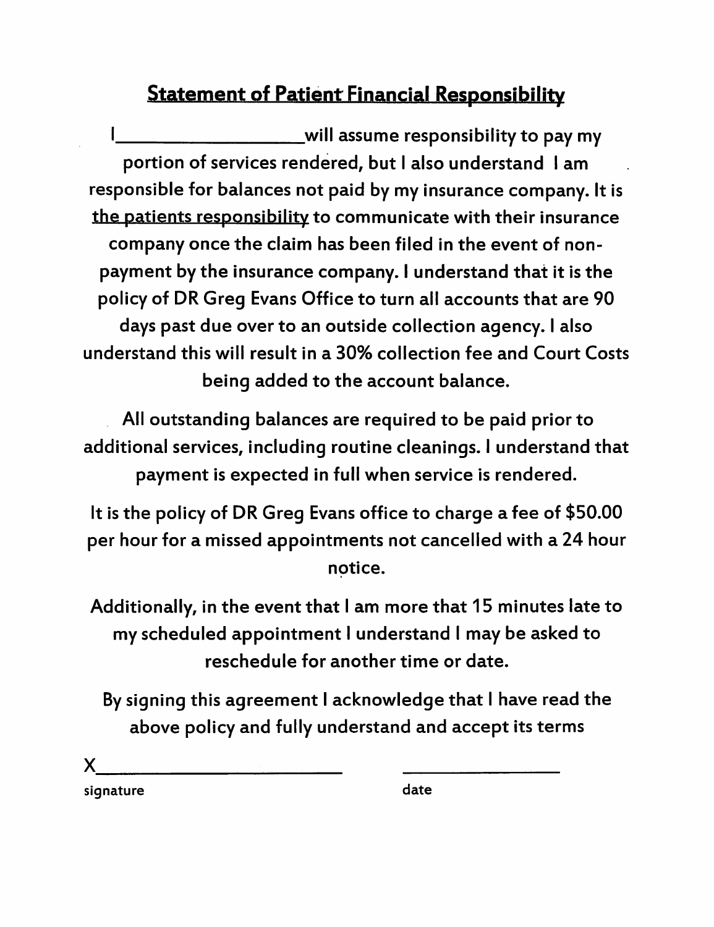## Statement of Patient Financial Responsibility

will assume responsibility to pay my portion of services rendered, but I also understand I am responsible for balances not paid by my insurance company. It is the patients responsibility to communicate with their insurance company once the claim has been filed in the event of non payment by the insurance company. I understand that it is the policy of DR Greg Evans Office to turn all accounts that are 90 days past due over to an outside collection agency. I also understand this will result in a 30% collection fee and Court Costs being added to the account balance.

All outstanding balances are required to be paid prior to additional services, including routine cleanings. I understand that payment is expected in full when service is rendered.

It is the policy of DR Greg Evans office to charge a fee of \$50.00 per hour for a missed appointments not cancelled with a 24 hour notice.

Additionally, in the event that I am more that 15 minutes late to my scheduled appointment I understand I may be asked to reschedule for another time or date.

By signing this agreement I acknowledge that I have read the above policy and fully understand and accept its terms

X

signature date date date